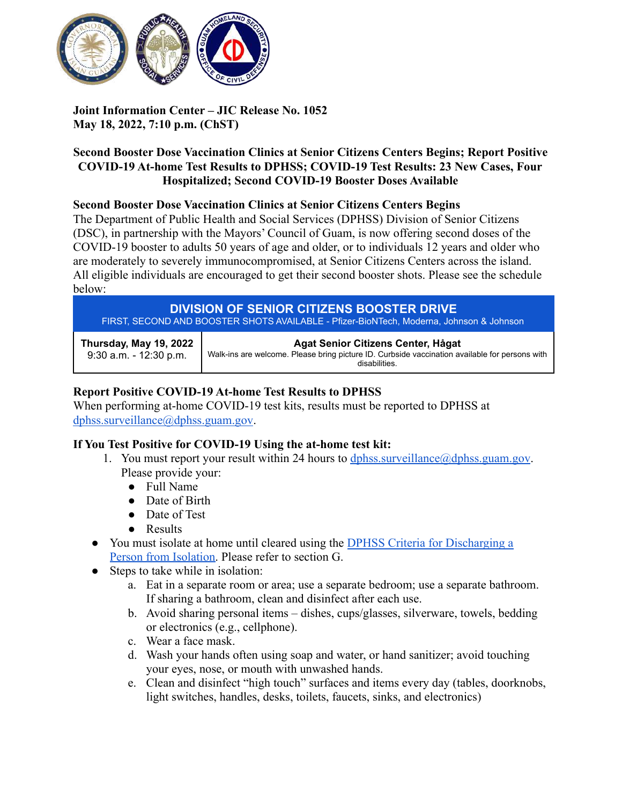

# **Joint Information Center – JIC Release No. 1052 May 18, 2022, 7:10 p.m. (ChST)**

# **Second Booster Dose Vaccination Clinics at Senior Citizens Centers Begins; Report Positive COVID-19 At-home Test Results to DPHSS; COVID-19 Test Results: 23 New Cases, Four Hospitalized; Second COVID-19 Booster Doses Available**

# **Second Booster Dose Vaccination Clinics at Senior Citizens Centers Begins**

The Department of Public Health and Social Services (DPHSS) Division of Senior Citizens (DSC), in partnership with the Mayors' Council of Guam, is now offering second doses of the COVID-19 booster to adults 50 years of age and older, or to individuals 12 years and older who are moderately to severely immunocompromised, at Senior Citizens Centers across the island. All eligible individuals are encouraged to get their second booster shots. Please see the schedule below:

#### **DIVISION OF SENIOR CITIZENS BOOSTER DRIVE** FIRST, SECOND AND BOOSTER SHOTS AVAILABLE - Pfizer-BioNTech, Moderna, Johnson & Johnson **Thursday, May 19, 2022** 9:30 a.m. - 12:30 p.m. **Agat Senior Citizens Center, Hågat** Walk-ins are welcome. Please bring picture ID. Curbside vaccination available for persons with disabilities.

# **Report Positive COVID-19 At-home Test Results to DPHSS**

When performing at-home COVID-19 test kits, results must be reported to DPHSS at [dphss.surveillance@dphss.guam.gov](mailto:dphss.surveillance@dphss.guam.gov).

# **If You Test Positive for COVID-19 Using the at-home test kit:**

- 1. You must report your result within 24 hours to  $d$  obliss surveillance  $\omega$  domes guam.gov. Please provide your:
	- Full Name
	- Date of Birth
	- Date of Test
	- Results
- You must isolate at home until cleared using the DPHSS [Criteria for Discharging a](https://dphss.guam.gov/wp-content/uploads/2022/01/DPHSS-GUIDANCE-MEMO-2021-16-REV02-01-28-2022_FINAL.pdf) [Person from Isolation.](https://dphss.guam.gov/wp-content/uploads/2022/01/DPHSS-GUIDANCE-MEMO-2021-16-REV02-01-28-2022_FINAL.pdf) Please refer to section G.
- Steps to take while in isolation:
	- a. Eat in a separate room or area; use a separate bedroom; use a separate bathroom. If sharing a bathroom, clean and disinfect after each use.
	- b. Avoid sharing personal items dishes, cups/glasses, silverware, towels, bedding or electronics (e.g., cellphone).
	- c. Wear a face mask.
	- d. Wash your hands often using soap and water, or hand sanitizer; avoid touching your eyes, nose, or mouth with unwashed hands.
	- e. Clean and disinfect "high touch" surfaces and items every day (tables, doorknobs, light switches, handles, desks, toilets, faucets, sinks, and electronics)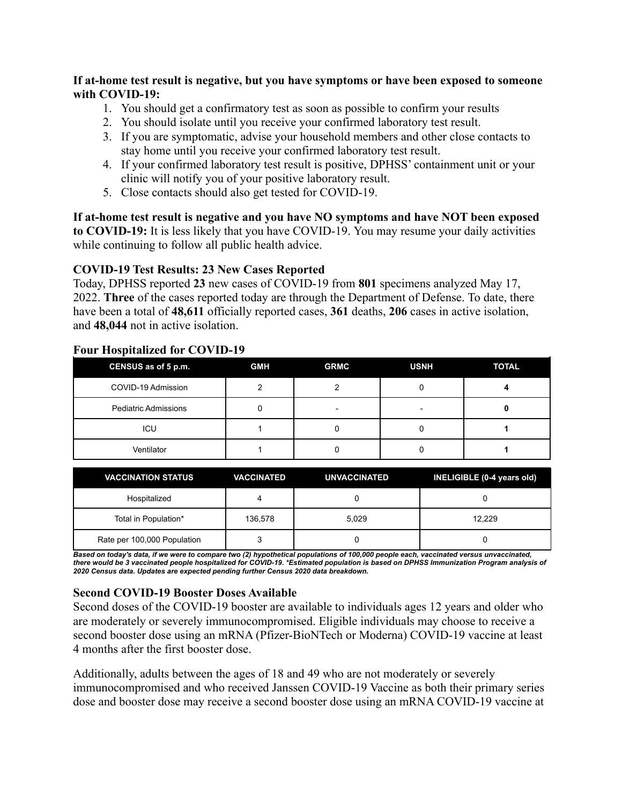### **If at-home test result is negative, but you have symptoms or have been exposed to someone with COVID-19:**

- 1. You should get a confirmatory test as soon as possible to confirm your results
- 2. You should isolate until you receive your confirmed laboratory test result.
- 3. If you are symptomatic, advise your household members and other close contacts to stay home until you receive your confirmed laboratory test result.
- 4. If your confirmed laboratory test result is positive, DPHSS' containment unit or your clinic will notify you of your positive laboratory result.
- 5. Close contacts should also get tested for COVID-19.

**If at-home test result is negative and you have NO symptoms and have NOT been exposed to COVID-19:** It is less likely that you have COVID-19. You may resume your daily activities while continuing to follow all public health advice.

### **COVID-19 Test Results: 23 New Cases Reported**

Today, DPHSS reported **23** new cases of COVID-19 from **801** specimens analyzed May 17, 2022. **Three** of the cases reported today are through the Department of Defense. To date, there have been a total of **48,611** officially reported cases, **361** deaths, **206** cases in active isolation, and **48,044** not in active isolation.

| CENSUS as of 5 p.m.         | <b>GMH</b> | <b>GRMC</b> | <b>USNH</b> | <b>TOTAL</b> |
|-----------------------------|------------|-------------|-------------|--------------|
| COVID-19 Admission          |            |             |             |              |
| <b>Pediatric Admissions</b> |            |             |             |              |
| ICU                         |            |             |             |              |
| Ventilator                  |            |             |             |              |

#### **Four Hospitalized for COVID-19**

| <b>VACCINATION STATUS</b>   | <b>VACCINATED</b> | <b>UNVACCINATED</b> | INELIGIBLE (0-4 years old) |
|-----------------------------|-------------------|---------------------|----------------------------|
| Hospitalized                |                   |                     |                            |
| Total in Population*        | 136,578           | 5.029               | 12.229                     |
| Rate per 100,000 Population |                   |                     |                            |

Based on today's data, if we were to compare two (2) hypothetical populations of 100,000 people each, vaccinated versus unvaccinated, there would be 3 vaccinated people hospitalized for COVID-19. \*Estimated population is based on DPHSS Immunization Program analysis of *2020 Census data. Updates are expected pending further Census 2020 data breakdown.*

# **Second COVID-19 Booster Doses Available**

Second doses of the COVID-19 booster are available to individuals ages 12 years and older who are moderately or severely immunocompromised. Eligible individuals may choose to receive a second booster dose using an mRNA (Pfizer-BioNTech or Moderna) COVID-19 vaccine at least 4 months after the first booster dose.

Additionally, adults between the ages of 18 and 49 who are not moderately or severely immunocompromised and who received Janssen COVID-19 Vaccine as both their primary series dose and booster dose may receive a second booster dose using an mRNA COVID-19 vaccine at